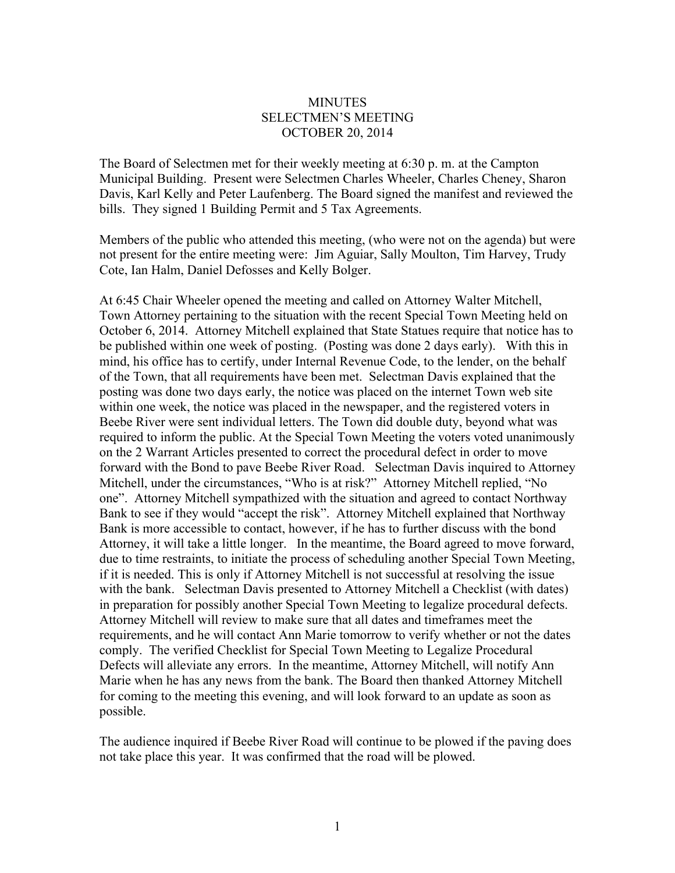## **MINUTES** SELECTMEN'S MEETING OCTOBER 20, 2014

The Board of Selectmen met for their weekly meeting at 6:30 p. m. at the Campton Municipal Building. Present were Selectmen Charles Wheeler, Charles Cheney, Sharon Davis, Karl Kelly and Peter Laufenberg. The Board signed the manifest and reviewed the bills. They signed 1 Building Permit and 5 Tax Agreements.

Members of the public who attended this meeting, (who were not on the agenda) but were not present for the entire meeting were: Jim Aguiar, Sally Moulton, Tim Harvey, Trudy Cote, Ian Halm, Daniel Defosses and Kelly Bolger.

At 6:45 Chair Wheeler opened the meeting and called on Attorney Walter Mitchell, Town Attorney pertaining to the situation with the recent Special Town Meeting held on October 6, 2014. Attorney Mitchell explained that State Statues require that notice has to be published within one week of posting. (Posting was done 2 days early). With this in mind, his office has to certify, under Internal Revenue Code, to the lender, on the behalf of the Town, that all requirements have been met. Selectman Davis explained that the posting was done two days early, the notice was placed on the internet Town web site within one week, the notice was placed in the newspaper, and the registered voters in Beebe River were sent individual letters. The Town did double duty, beyond what was required to inform the public. At the Special Town Meeting the voters voted unanimously on the 2 Warrant Articles presented to correct the procedural defect in order to move forward with the Bond to pave Beebe River Road. Selectman Davis inquired to Attorney Mitchell, under the circumstances, "Who is at risk?" Attorney Mitchell replied, "No one". Attorney Mitchell sympathized with the situation and agreed to contact Northway Bank to see if they would "accept the risk". Attorney Mitchell explained that Northway Bank is more accessible to contact, however, if he has to further discuss with the bond Attorney, it will take a little longer. In the meantime, the Board agreed to move forward, due to time restraints, to initiate the process of scheduling another Special Town Meeting, if it is needed. This is only if Attorney Mitchell is not successful at resolving the issue with the bank. Selectman Davis presented to Attorney Mitchell a Checklist (with dates) in preparation for possibly another Special Town Meeting to legalize procedural defects. Attorney Mitchell will review to make sure that all dates and timeframes meet the requirements, and he will contact Ann Marie tomorrow to verify whether or not the dates comply. The verified Checklist for Special Town Meeting to Legalize Procedural Defects will alleviate any errors. In the meantime, Attorney Mitchell, will notify Ann Marie when he has any news from the bank. The Board then thanked Attorney Mitchell for coming to the meeting this evening, and will look forward to an update as soon as possible.

The audience inquired if Beebe River Road will continue to be plowed if the paving does not take place this year. It was confirmed that the road will be plowed.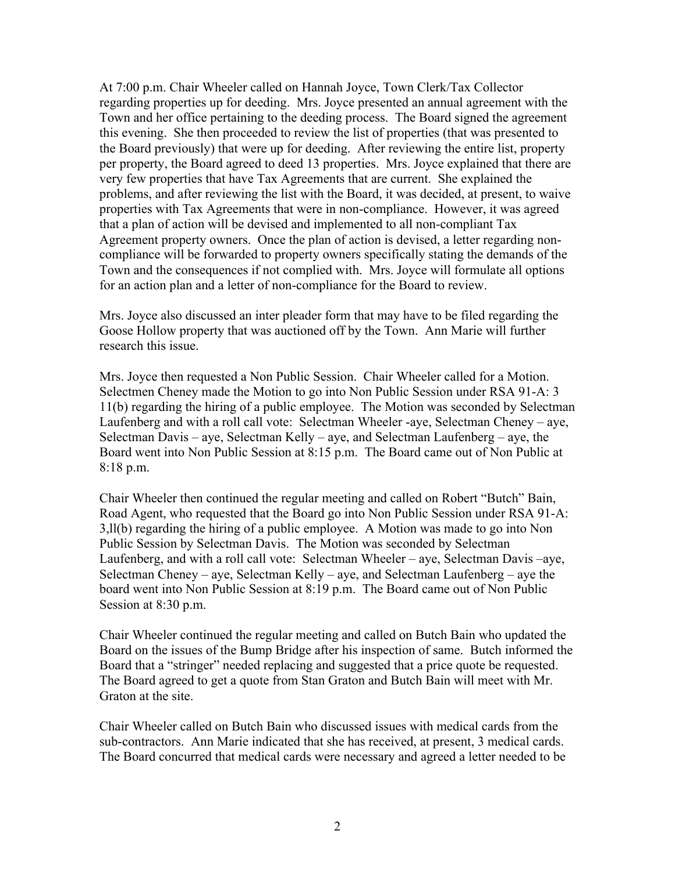At 7:00 p.m. Chair Wheeler called on Hannah Joyce, Town Clerk/Tax Collector regarding properties up for deeding. Mrs. Joyce presented an annual agreement with the Town and her office pertaining to the deeding process. The Board signed the agreement this evening. She then proceeded to review the list of properties (that was presented to the Board previously) that were up for deeding. After reviewing the entire list, property per property, the Board agreed to deed 13 properties. Mrs. Joyce explained that there are very few properties that have Tax Agreements that are current. She explained the problems, and after reviewing the list with the Board, it was decided, at present, to waive properties with Tax Agreements that were in non-compliance. However, it was agreed that a plan of action will be devised and implemented to all non-compliant Tax Agreement property owners. Once the plan of action is devised, a letter regarding noncompliance will be forwarded to property owners specifically stating the demands of the Town and the consequences if not complied with. Mrs. Joyce will formulate all options for an action plan and a letter of non-compliance for the Board to review.

Mrs. Joyce also discussed an inter pleader form that may have to be filed regarding the Goose Hollow property that was auctioned off by the Town. Ann Marie will further research this issue.

Mrs. Joyce then requested a Non Public Session. Chair Wheeler called for a Motion. Selectmen Cheney made the Motion to go into Non Public Session under RSA 91-A: 3 11(b) regarding the hiring of a public employee. The Motion was seconded by Selectman Laufenberg and with a roll call vote: Selectman Wheeler -aye, Selectman Cheney – aye, Selectman Davis – aye, Selectman Kelly – aye, and Selectman Laufenberg – aye, the Board went into Non Public Session at 8:15 p.m. The Board came out of Non Public at 8:18 p.m.

Chair Wheeler then continued the regular meeting and called on Robert "Butch" Bain, Road Agent, who requested that the Board go into Non Public Session under RSA 91-A: 3,ll(b) regarding the hiring of a public employee. A Motion was made to go into Non Public Session by Selectman Davis. The Motion was seconded by Selectman Laufenberg, and with a roll call vote: Selectman Wheeler – aye, Selectman Davis –aye, Selectman Cheney – aye, Selectman Kelly – aye, and Selectman Laufenberg – aye the board went into Non Public Session at 8:19 p.m. The Board came out of Non Public Session at 8:30 p.m.

Chair Wheeler continued the regular meeting and called on Butch Bain who updated the Board on the issues of the Bump Bridge after his inspection of same. Butch informed the Board that a "stringer" needed replacing and suggested that a price quote be requested. The Board agreed to get a quote from Stan Graton and Butch Bain will meet with Mr. Graton at the site.

Chair Wheeler called on Butch Bain who discussed issues with medical cards from the sub-contractors. Ann Marie indicated that she has received, at present, 3 medical cards. The Board concurred that medical cards were necessary and agreed a letter needed to be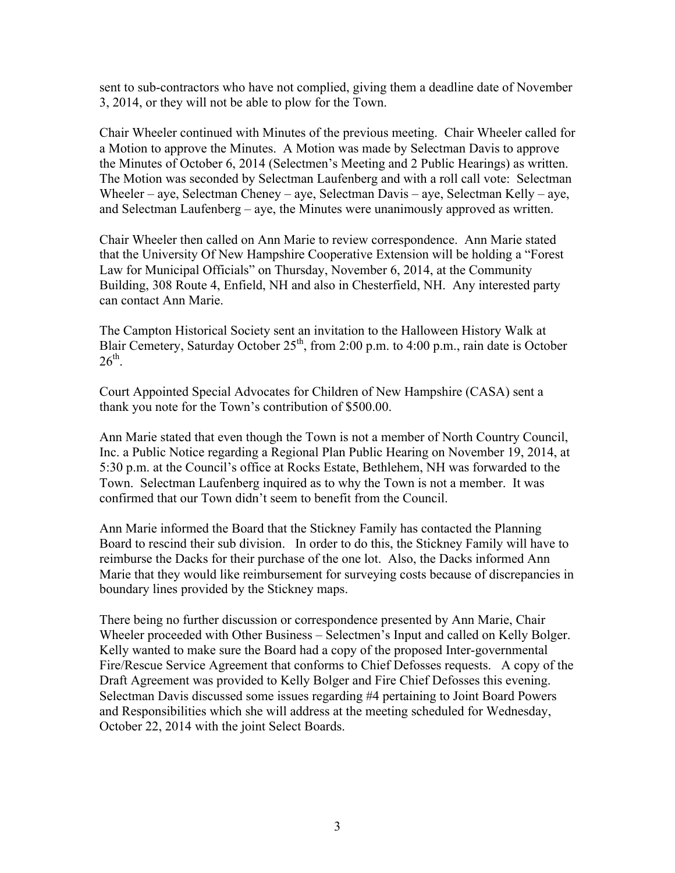sent to sub-contractors who have not complied, giving them a deadline date of November 3, 2014, or they will not be able to plow for the Town.

Chair Wheeler continued with Minutes of the previous meeting. Chair Wheeler called for a Motion to approve the Minutes. A Motion was made by Selectman Davis to approve the Minutes of October 6, 2014 (Selectmen's Meeting and 2 Public Hearings) as written. The Motion was seconded by Selectman Laufenberg and with a roll call vote: Selectman Wheeler – aye, Selectman Cheney – aye, Selectman Davis – aye, Selectman Kelly – aye, and Selectman Laufenberg – aye, the Minutes were unanimously approved as written.

Chair Wheeler then called on Ann Marie to review correspondence. Ann Marie stated that the University Of New Hampshire Cooperative Extension will be holding a "Forest Law for Municipal Officials" on Thursday, November 6, 2014, at the Community Building, 308 Route 4, Enfield, NH and also in Chesterfield, NH. Any interested party can contact Ann Marie.

The Campton Historical Society sent an invitation to the Halloween History Walk at Blair Cemetery, Saturday October  $25<sup>th</sup>$ , from 2:00 p.m. to 4:00 p.m., rain date is October  $26^{\text{th}}$ 

Court Appointed Special Advocates for Children of New Hampshire (CASA) sent a thank you note for the Town's contribution of \$500.00.

Ann Marie stated that even though the Town is not a member of North Country Council, Inc. a Public Notice regarding a Regional Plan Public Hearing on November 19, 2014, at 5:30 p.m. at the Council's office at Rocks Estate, Bethlehem, NH was forwarded to the Town. Selectman Laufenberg inquired as to why the Town is not a member. It was confirmed that our Town didn't seem to benefit from the Council.

Ann Marie informed the Board that the Stickney Family has contacted the Planning Board to rescind their sub division. In order to do this, the Stickney Family will have to reimburse the Dacks for their purchase of the one lot. Also, the Dacks informed Ann Marie that they would like reimbursement for surveying costs because of discrepancies in boundary lines provided by the Stickney maps.

There being no further discussion or correspondence presented by Ann Marie, Chair Wheeler proceeded with Other Business – Selectmen's Input and called on Kelly Bolger. Kelly wanted to make sure the Board had a copy of the proposed Inter-governmental Fire/Rescue Service Agreement that conforms to Chief Defosses requests. A copy of the Draft Agreement was provided to Kelly Bolger and Fire Chief Defosses this evening. Selectman Davis discussed some issues regarding #4 pertaining to Joint Board Powers and Responsibilities which she will address at the meeting scheduled for Wednesday, October 22, 2014 with the joint Select Boards.